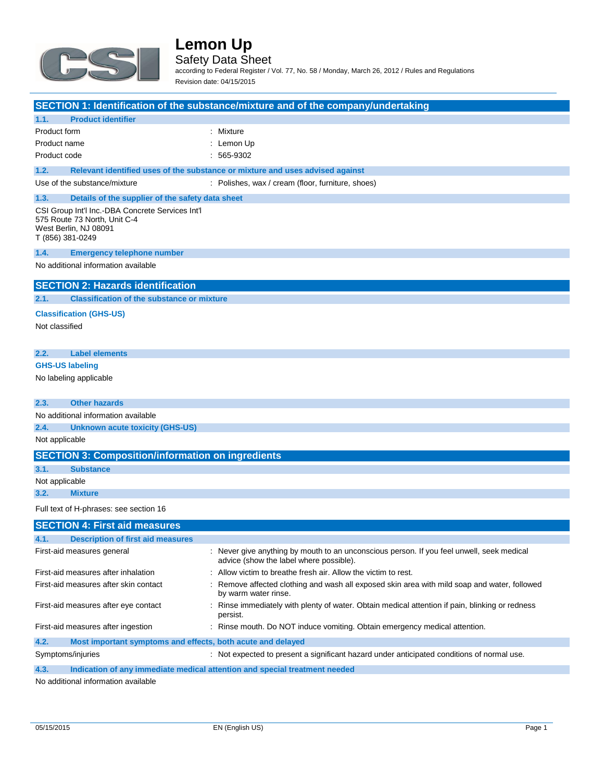

Safety Data Sheet

according to Federal Register / Vol. 77, No. 58 / Monday, March 26, 2012 / Rules and Regulations Revision date: 04/15/2015

|                                                                                                                               | SECTION 1: Identification of the substance/mixture and of the company/undertaking                                                    |
|-------------------------------------------------------------------------------------------------------------------------------|--------------------------------------------------------------------------------------------------------------------------------------|
| <b>Product identifier</b><br>1.1.                                                                                             |                                                                                                                                      |
| Product form                                                                                                                  | : Mixture                                                                                                                            |
| Product name                                                                                                                  | : Lemon Up                                                                                                                           |
| Product code                                                                                                                  | $: 565-9302$                                                                                                                         |
| 1.2.                                                                                                                          | Relevant identified uses of the substance or mixture and uses advised against                                                        |
| Use of the substance/mixture                                                                                                  | : Polishes, wax / cream (floor, furniture, shoes)                                                                                    |
| 1.3.<br>Details of the supplier of the safety data sheet                                                                      |                                                                                                                                      |
| CSI Group Int'l Inc.-DBA Concrete Services Int'l<br>575 Route 73 North, Unit C-4<br>West Berlin, NJ 08091<br>T (856) 381-0249 |                                                                                                                                      |
| 1.4.<br><b>Emergency telephone number</b>                                                                                     |                                                                                                                                      |
| No additional information available                                                                                           |                                                                                                                                      |
| <b>SECTION 2: Hazards identification</b>                                                                                      |                                                                                                                                      |
| <b>Classification of the substance or mixture</b><br>2.1.                                                                     |                                                                                                                                      |
| <b>Classification (GHS-US)</b>                                                                                                |                                                                                                                                      |
| Not classified                                                                                                                |                                                                                                                                      |
|                                                                                                                               |                                                                                                                                      |
| <b>Label elements</b><br>2.2.                                                                                                 |                                                                                                                                      |
| <b>GHS-US labeling</b>                                                                                                        |                                                                                                                                      |
| No labeling applicable                                                                                                        |                                                                                                                                      |
| <b>Other hazards</b><br>2.3.                                                                                                  |                                                                                                                                      |
| No additional information available                                                                                           |                                                                                                                                      |
| 2.4.<br>Unknown acute toxicity (GHS-US)                                                                                       |                                                                                                                                      |
| Not applicable                                                                                                                |                                                                                                                                      |
| <b>SECTION 3: Composition/information on ingredients</b>                                                                      |                                                                                                                                      |
| 3.1.<br><b>Substance</b>                                                                                                      |                                                                                                                                      |
| Not applicable                                                                                                                |                                                                                                                                      |
| <b>Mixture</b><br>3.2.                                                                                                        |                                                                                                                                      |
| Full text of H-phrases: see section 16                                                                                        |                                                                                                                                      |
| <b>SECTION 4: First aid measures</b>                                                                                          |                                                                                                                                      |
| <b>Description of first aid measures</b>                                                                                      |                                                                                                                                      |
| First-aid measures general                                                                                                    | : Never give anything by mouth to an unconscious person. If you feel unwell, seek medical<br>advice (show the label where possible). |
| First-aid measures after inhalation                                                                                           | Allow victim to breathe fresh air. Allow the victim to rest.                                                                         |
| First-aid measures after skin contact                                                                                         | Remove affected clothing and wash all exposed skin area with mild soap and water, followed<br>by warm water rinse.                   |
| First-aid measures after eye contact                                                                                          | : Rinse immediately with plenty of water. Obtain medical attention if pain, blinking or redness<br>persist.                          |
| First-aid measures after ingestion                                                                                            | : Rinse mouth. Do NOT induce vomiting. Obtain emergency medical attention.                                                           |
| 4.2.<br>Most important symptoms and effects, both acute and delayed                                                           |                                                                                                                                      |
| Symptoms/injuries                                                                                                             | : Not expected to present a significant hazard under anticipated conditions of normal use.                                           |

**4.3. Indication of any immediate medical attention and special treatment needed**

No additional information available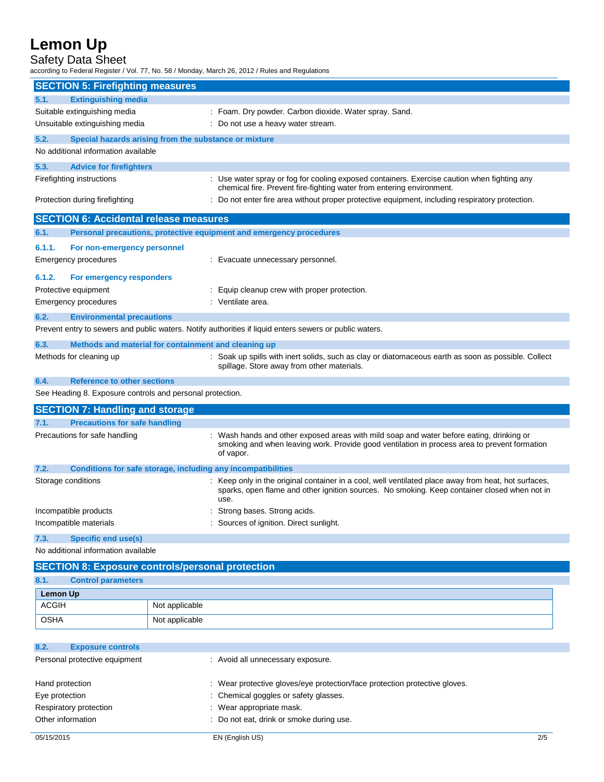### Safety Data Sheet

according to Federal Register / Vol. 77, No. 58 / Monday, March 26, 2012 / Rules and Regulations

|                 | <b>SECTION 5: Firefighting measures</b>       |                                                                                                                                                                                                              |
|-----------------|-----------------------------------------------|--------------------------------------------------------------------------------------------------------------------------------------------------------------------------------------------------------------|
| 5.1.            | <b>Extinguishing media</b>                    |                                                                                                                                                                                                              |
|                 | Suitable extinguishing media                  | : Foam. Dry powder. Carbon dioxide. Water spray. Sand.                                                                                                                                                       |
|                 | Unsuitable extinguishing media                | : Do not use a heavy water stream.                                                                                                                                                                           |
| 5.2.            |                                               | Special hazards arising from the substance or mixture                                                                                                                                                        |
|                 | No additional information available           |                                                                                                                                                                                                              |
| 5.3.            | <b>Advice for firefighters</b>                |                                                                                                                                                                                                              |
|                 | Firefighting instructions                     | : Use water spray or fog for cooling exposed containers. Exercise caution when fighting any<br>chemical fire. Prevent fire-fighting water from entering environment.                                         |
|                 | Protection during firefighting                | : Do not enter fire area without proper protective equipment, including respiratory protection.                                                                                                              |
|                 | <b>SECTION 6: Accidental release measures</b> |                                                                                                                                                                                                              |
| 6.1.            |                                               | Personal precautions, protective equipment and emergency procedures                                                                                                                                          |
| 6.1.1.          | For non-emergency personnel                   |                                                                                                                                                                                                              |
|                 | Emergency procedures                          | : Evacuate unnecessary personnel.                                                                                                                                                                            |
| 6.1.2.          | For emergency responders                      |                                                                                                                                                                                                              |
|                 | Protective equipment                          | : Equip cleanup crew with proper protection.                                                                                                                                                                 |
|                 | <b>Emergency procedures</b>                   | : Ventilate area.                                                                                                                                                                                            |
|                 |                                               |                                                                                                                                                                                                              |
| 6.2.            | <b>Environmental precautions</b>              |                                                                                                                                                                                                              |
|                 |                                               | Prevent entry to sewers and public waters. Notify authorities if liquid enters sewers or public waters.                                                                                                      |
| 6.3.            |                                               | Methods and material for containment and cleaning up                                                                                                                                                         |
|                 | Methods for cleaning up                       | : Soak up spills with inert solids, such as clay or diatomaceous earth as soon as possible. Collect<br>spillage. Store away from other materials.                                                            |
| 6.4.            | <b>Reference to other sections</b>            |                                                                                                                                                                                                              |
|                 |                                               | See Heading 8. Exposure controls and personal protection.                                                                                                                                                    |
|                 | <b>SECTION 7: Handling and storage</b>        |                                                                                                                                                                                                              |
| 7.1.            | <b>Precautions for safe handling</b>          |                                                                                                                                                                                                              |
|                 | Precautions for safe handling                 | : Wash hands and other exposed areas with mild soap and water before eating, drinking or<br>smoking and when leaving work. Provide good ventilation in process area to prevent formation<br>of vapor.        |
| 7.2.            |                                               | Conditions for safe storage, including any incompatibilities                                                                                                                                                 |
|                 | Storage conditions                            | : Keep only in the original container in a cool, well ventilated place away from heat, hot surfaces,<br>sparks, open flame and other ignition sources. No smoking. Keep container closed when not in<br>use. |
|                 | Incompatible products                         | : Strong bases. Strong acids.                                                                                                                                                                                |
|                 | Incompatible materials                        | : Sources of ignition. Direct sunlight.                                                                                                                                                                      |
| 7.3.            | <b>Specific end use(s)</b>                    |                                                                                                                                                                                                              |
|                 | No additional information available           |                                                                                                                                                                                                              |
|                 |                                               | <b>SECTION 8: Exposure controls/personal protection</b>                                                                                                                                                      |
| 8.1.            | <b>Control parameters</b>                     |                                                                                                                                                                                                              |
| <b>Lemon Up</b> |                                               |                                                                                                                                                                                                              |
| <b>ACGIH</b>    |                                               | Not applicable                                                                                                                                                                                               |
| <b>OSHA</b>     |                                               | Not applicable                                                                                                                                                                                               |

| 8.2.                          | <b>Exposure controls</b> |                                                                            |
|-------------------------------|--------------------------|----------------------------------------------------------------------------|
| Personal protective equipment |                          | : Avoid all unnecessary exposure.                                          |
|                               |                          |                                                                            |
|                               | Hand protection          | : Wear protective gloves/eye protection/face protection protective gloves. |
| Eye protection                |                          | : Chemical goggles or safety glasses.                                      |
|                               | Respiratory protection   | : Wear appropriate mask.                                                   |
|                               | Other information        | : Do not eat, drink or smoke during use.                                   |
|                               |                          |                                                                            |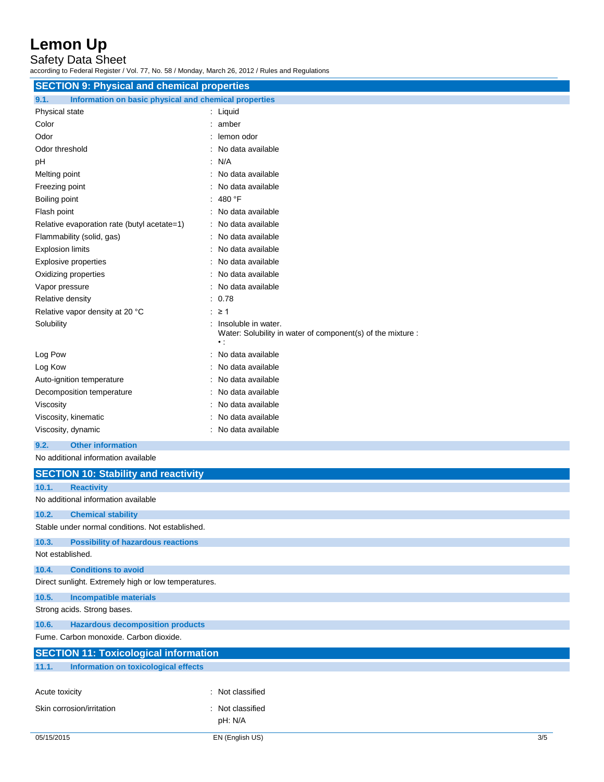Safety Data Sheet

according to Federal Register / Vol. 77, No. 58 / Monday, March 26, 2012 / Rules and Regulations

| <b>SECTION 9: Physical and chemical properties</b>            |                                                                                                     |
|---------------------------------------------------------------|-----------------------------------------------------------------------------------------------------|
| Information on basic physical and chemical properties<br>9.1. |                                                                                                     |
| Physical state                                                | : Liquid                                                                                            |
| Color                                                         | : amber                                                                                             |
| Odor                                                          | : lemon odor                                                                                        |
| Odor threshold                                                | : No data available                                                                                 |
| рH                                                            | : N/A                                                                                               |
| Melting point                                                 | : No data available                                                                                 |
| Freezing point                                                | No data available                                                                                   |
| Boiling point                                                 | : 480 °F                                                                                            |
| Flash point                                                   | : No data available                                                                                 |
| Relative evaporation rate (butyl acetate=1)                   | : No data available                                                                                 |
| Flammability (solid, gas)                                     | No data available                                                                                   |
| <b>Explosion limits</b>                                       | : No data available                                                                                 |
| <b>Explosive properties</b>                                   | : No data available                                                                                 |
| Oxidizing properties                                          | : No data available                                                                                 |
| Vapor pressure                                                | : No data available                                                                                 |
| Relative density                                              | : 0.78                                                                                              |
| Relative vapor density at 20 °C                               | $\geq$ 21                                                                                           |
| Solubility                                                    | : Insoluble in water.<br>Water: Solubility in water of component(s) of the mixture :<br>$\bullet$ : |
| Log Pow                                                       | : No data available                                                                                 |
| Log Kow                                                       | No data available                                                                                   |
| Auto-ignition temperature                                     | No data available                                                                                   |
| Decomposition temperature                                     | : No data available                                                                                 |
| Viscosity                                                     | : No data available                                                                                 |
| Viscosity, kinematic                                          | No data available                                                                                   |
| Viscosity, dynamic                                            | : No data available                                                                                 |
| <b>Other information</b><br>9.2.                              |                                                                                                     |
| No additional information available                           |                                                                                                     |
| <b>SECTION 10: Stability and reactivity</b>                   |                                                                                                     |
| 10.1.<br><b>Reactivity</b>                                    |                                                                                                     |
| No additional information available                           |                                                                                                     |
| 10.2.<br><b>Chemical stability</b>                            |                                                                                                     |
| Stable under normal conditions. Not established.              |                                                                                                     |
|                                                               |                                                                                                     |
| 10.3.<br><b>Possibility of hazardous reactions</b>            |                                                                                                     |
| Not established.                                              |                                                                                                     |
| 10.4.<br><b>Conditions to avoid</b>                           |                                                                                                     |

Direct sunlight. Extremely high or low temperatures.

**10.5. Incompatible materials** Strong acids. Strong bases.

**10.6. Hazardous decomposition products**

Fume. Carbon monoxide. Carbon dioxide.

|                           | <b>SECTION 11: Toxicological information</b> |                  |  |  |
|---------------------------|----------------------------------------------|------------------|--|--|
| 11.1.                     | Information on toxicological effects         |                  |  |  |
|                           |                                              |                  |  |  |
| Acute toxicity            |                                              | : Not classified |  |  |
| Skin corrosion/irritation |                                              | : Not classified |  |  |
|                           |                                              | pH: N/A          |  |  |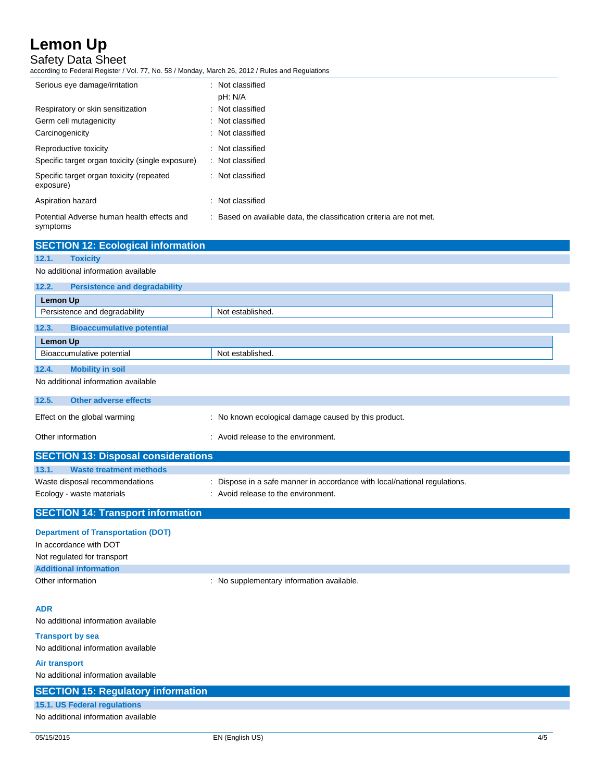Safety Data Sheet

according to Federal Register / Vol. 77, No. 58 / Monday, March 26, 2012 / Rules and Regulations

| Serious eye damage/irritation                          | : Not classified<br>pH: N/A                                         |  |
|--------------------------------------------------------|---------------------------------------------------------------------|--|
| Respiratory or skin sensitization                      | : Not classified                                                    |  |
| Germ cell mutagenicity                                 | : Not classified                                                    |  |
| Carcinogenicity                                        | : Not classified                                                    |  |
| Reproductive toxicity                                  | : Not classified                                                    |  |
| Specific target organ toxicity (single exposure)       | : Not classified                                                    |  |
| Specific target organ toxicity (repeated<br>exposure)  | : Not classified                                                    |  |
| Aspiration hazard                                      | : Not classified                                                    |  |
| Potential Adverse human health effects and<br>symptoms | : Based on available data, the classification criteria are not met. |  |

|                 | <b>SECTION 12: Ecological information</b>  |                                                                           |
|-----------------|--------------------------------------------|---------------------------------------------------------------------------|
| 12.1.           | <b>Toxicity</b>                            |                                                                           |
|                 | No additional information available        |                                                                           |
| 12.2.           | <b>Persistence and degradability</b>       |                                                                           |
| Lemon Up        |                                            |                                                                           |
|                 | Persistence and degradability              | Not established.                                                          |
| 12.3.           | <b>Bioaccumulative potential</b>           |                                                                           |
| <b>Lemon Up</b> |                                            |                                                                           |
|                 | Bioaccumulative potential                  | Not established.                                                          |
| 12.4.           | <b>Mobility in soil</b>                    |                                                                           |
|                 | No additional information available        |                                                                           |
| 12.5.           | <b>Other adverse effects</b>               |                                                                           |
|                 | Effect on the global warming               | : No known ecological damage caused by this product.                      |
|                 | Other information                          | : Avoid release to the environment.                                       |
|                 | <b>SECTION 13: Disposal considerations</b> |                                                                           |
| 13.1.           | <b>Waste treatment methods</b>             |                                                                           |
|                 | Waste disposal recommendations             | : Dispose in a safe manner in accordance with local/national regulations. |

Ecology - waste materials **Example 20** in Avoid release to the environment.

### **SECTION 14: Transport information**

| <b>Department of Transportation (DOT)</b>             |                                           |
|-------------------------------------------------------|-------------------------------------------|
| In accordance with DOT<br>Not regulated for transport |                                           |
| <b>Additional information</b>                         |                                           |
| Other information                                     | : No supplementary information available. |

### **ADR**

No additional information available

**Transport by sea** No additional information available

**Air transport**

| No additional information available       |
|-------------------------------------------|
| <b>SECTION 15: Regulatory information</b> |
| 15.1. US Federal regulations              |
| No additional information available       |